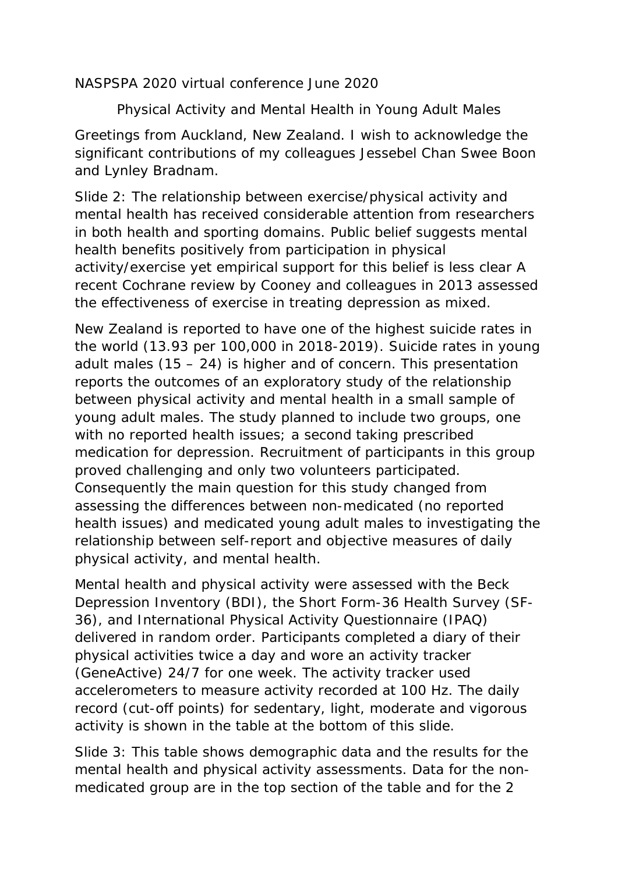NASPSPA 2020 virtual conference June 2020

Physical Activity and Mental Health in Young Adult Males

Greetings from Auckland, New Zealand. I wish to acknowledge the significant contributions of my colleagues Jessebel Chan Swee Boon and Lynley Bradnam.

Slide 2: The relationship between exercise/physical activity and mental health has received considerable attention from researchers in both health and sporting domains. Public belief suggests mental health benefits positively from participation in physical activity/exercise yet empirical support for this belief is less clear A recent Cochrane review by Cooney and colleagues in 2013 assessed the effectiveness of exercise in treating depression as mixed.

New Zealand is reported to have one of the highest suicide rates in the world (13.93 per 100,000 in 2018-2019). Suicide rates in young adult males (15 – 24) is higher and of concern. This presentation reports the outcomes of an exploratory study of the relationship between physical activity and mental health in a small sample of young adult males. The study planned to include two groups, one with no reported health issues; a second taking prescribed medication for depression. Recruitment of participants in this group proved challenging and only two volunteers participated. Consequently the main question for this study changed from assessing the differences between non-medicated (no reported health issues) and medicated young adult males to investigating the relationship between self-report and objective measures of daily physical activity, and mental health.

Mental health and physical activity were assessed with the Beck Depression Inventory (BDI), the Short Form-36 Health Survey (SF-36), and International Physical Activity Questionnaire (IPAQ) delivered in random order. Participants completed a diary of their physical activities twice a day and wore an activity tracker (GeneActive) 24/7 for one week. The activity tracker used accelerometers to measure activity recorded at 100 Hz. The daily record (cut-off points) for sedentary, light, moderate and vigorous activity is shown in the table at the bottom of this slide.

Slide 3: This table shows demographic data and the results for the mental health and physical activity assessments. Data for the nonmedicated group are in the top section of the table and for the 2